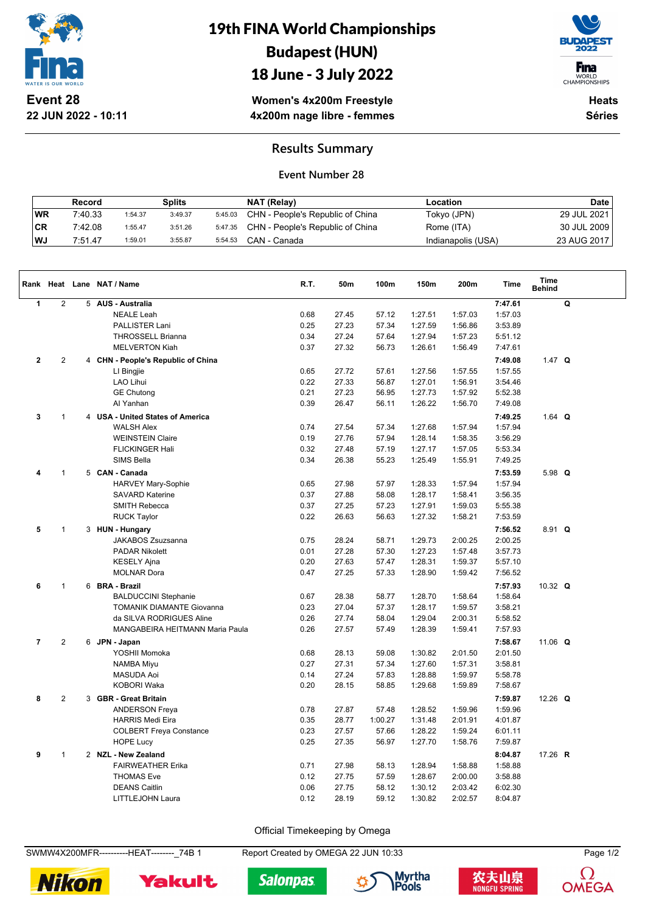

**22 JUN 2022 - 10:11**

# 19th FINA World Championships Budapest (HUN)

## 18 June - 3 July 2022



WORLD<br>CHAMPIONSHIPS

**Women's 4x200m Freestyle 4x200m nage libre - femmes**

**Heats Séries**

### **Results Summary**

#### **Event Number 28**

|      | Record  |         | Splits  |         | NAT (Relay)                      | Location           | Date        |
|------|---------|---------|---------|---------|----------------------------------|--------------------|-------------|
| WR   | 7:40.33 | 1:54.37 | 3:49.37 | 5:45.03 | CHN - People's Republic of China | Tokyo (JPN)        | 29 JUL 2021 |
| CR   | 7:42.08 | 1:55.47 | 3:51.26 | 5:47.35 | CHN - People's Republic of China | Rome (ITA)         | 30 JUL 2009 |
| l WJ | 7:51.47 | 1:59.01 | 3:55.87 | 5:54.53 | CAN - Canada                     | Indianapolis (USA) | 23 AUG 2017 |

|                |                | Rank Heat Lane NAT / Name          | R.T. | 50m   | 100m    | 150m    | 200m    | <b>Time</b> | <b>Time</b><br><b>Behind</b> |   |
|----------------|----------------|------------------------------------|------|-------|---------|---------|---------|-------------|------------------------------|---|
| $\mathbf{1}$   | $\sqrt{2}$     | 5 AUS - Australia                  |      |       |         |         |         | 7:47.61     |                              | Q |
|                |                | <b>NEALE Leah</b>                  | 0.68 | 27.45 | 57.12   | 1:27.51 | 1:57.03 | 1:57.03     |                              |   |
|                |                | <b>PALLISTER Lani</b>              | 0.25 | 27.23 | 57.34   | 1:27.59 | 1:56.86 | 3:53.89     |                              |   |
|                |                | <b>THROSSELL Brianna</b>           | 0.34 | 27.24 | 57.64   | 1:27.94 | 1:57.23 | 5:51.12     |                              |   |
|                |                | <b>MELVERTON Kiah</b>              | 0.37 | 27.32 | 56.73   | 1:26.61 | 1:56.49 | 7:47.61     |                              |   |
| $\mathbf{2}$   | 2              | 4 CHN - People's Republic of China |      |       |         |         |         | 7:49.08     | 1.47 $Q$                     |   |
|                |                | LI Bingjie                         | 0.65 | 27.72 | 57.61   | 1:27.56 | 1:57.55 | 1:57.55     |                              |   |
|                |                | <b>LAO Lihui</b>                   | 0.22 | 27.33 | 56.87   | 1:27.01 | 1:56.91 | 3:54.46     |                              |   |
|                |                | <b>GE Chutong</b>                  | 0.21 | 27.23 | 56.95   | 1:27.73 | 1:57.92 | 5:52.38     |                              |   |
|                |                | Al Yanhan                          | 0.39 | 26.47 | 56.11   | 1:26.22 | 1:56.70 | 7:49.08     |                              |   |
| 3              | $\mathbf{1}$   | 4 USA - United States of America   |      |       |         |         |         | 7:49.25     | 1.64 $Q$                     |   |
|                |                | <b>WALSH Alex</b>                  | 0.74 | 27.54 | 57.34   | 1:27.68 | 1:57.94 | 1:57.94     |                              |   |
|                |                | <b>WEINSTEIN Claire</b>            | 0.19 | 27.76 | 57.94   | 1:28.14 | 1:58.35 | 3:56.29     |                              |   |
|                |                | <b>FLICKINGER Hali</b>             | 0.32 | 27.48 | 57.19   | 1:27.17 | 1:57.05 | 5:53.34     |                              |   |
|                |                | <b>SIMS Bella</b>                  | 0.34 | 26.38 | 55.23   | 1:25.49 | 1:55.91 | 7:49.25     |                              |   |
| 4              | $\mathbf{1}$   | 5 CAN - Canada                     |      |       |         |         |         | 7:53.59     | 5.98 $Q$                     |   |
|                |                | HARVEY Mary-Sophie                 | 0.65 | 27.98 | 57.97   | 1:28.33 | 1:57.94 | 1:57.94     |                              |   |
|                |                | <b>SAVARD Katerine</b>             | 0.37 | 27.88 | 58.08   | 1:28.17 | 1:58.41 | 3:56.35     |                              |   |
|                |                | <b>SMITH Rebecca</b>               | 0.37 | 27.25 | 57.23   | 1:27.91 | 1:59.03 | 5:55.38     |                              |   |
|                |                | <b>RUCK Taylor</b>                 | 0.22 | 26.63 | 56.63   | 1:27.32 | 1:58.21 | 7:53.59     |                              |   |
| 5              | 1              | 3 HUN - Hungary                    |      |       |         |         |         | 7:56.52     | $8.91$ Q                     |   |
|                |                | JAKABOS Zsuzsanna                  | 0.75 | 28.24 | 58.71   | 1:29.73 | 2:00.25 | 2:00.25     |                              |   |
|                |                | <b>PADAR Nikolett</b>              | 0.01 | 27.28 | 57.30   | 1:27.23 | 1:57.48 | 3:57.73     |                              |   |
|                |                | <b>KESELY Ajna</b>                 | 0.20 | 27.63 | 57.47   | 1:28.31 | 1:59.37 | 5:57.10     |                              |   |
|                |                | <b>MOLNAR Dora</b>                 | 0.47 | 27.25 | 57.33   | 1:28.90 | 1:59.42 | 7:56.52     |                              |   |
| 6              | $\mathbf{1}$   | 6 BRA - Brazil                     |      |       |         |         |         | 7:57.93     | 10.32 $Q$                    |   |
|                |                | <b>BALDUCCINI Stephanie</b>        | 0.67 | 28.38 | 58.77   | 1:28.70 | 1:58.64 | 1:58.64     |                              |   |
|                |                | <b>TOMANIK DIAMANTE Giovanna</b>   | 0.23 | 27.04 | 57.37   | 1:28.17 | 1:59.57 | 3:58.21     |                              |   |
|                |                | da SILVA RODRIGUES Aline           | 0.26 | 27.74 | 58.04   | 1:29.04 | 2:00.31 | 5:58.52     |                              |   |
|                |                | MANGABEIRA HEITMANN Maria Paula    | 0.26 | 27.57 | 57.49   | 1:28.39 | 1:59.41 | 7:57.93     |                              |   |
| $\overline{7}$ | $\overline{2}$ | 6 JPN - Japan                      |      |       |         |         |         | 7:58.67     | 11.06 $Q$                    |   |
|                |                | YOSHII Momoka                      | 0.68 | 28.13 | 59.08   | 1:30.82 | 2:01.50 | 2:01.50     |                              |   |
|                |                | <b>NAMBA Miyu</b>                  | 0.27 | 27.31 | 57.34   | 1:27.60 | 1:57.31 | 3:58.81     |                              |   |
|                |                | <b>MASUDA Aoi</b>                  | 0.14 | 27.24 | 57.83   | 1:28.88 | 1:59.97 | 5:58.78     |                              |   |
|                |                | <b>KOBORI Waka</b>                 | 0.20 | 28.15 | 58.85   | 1:29.68 | 1:59.89 | 7:58.67     |                              |   |
| 8              | $\sqrt{2}$     | 3 GBR - Great Britain              |      |       |         |         |         | 7:59.87     | 12.26 $Q$                    |   |
|                |                | <b>ANDERSON Freya</b>              | 0.78 | 27.87 | 57.48   | 1:28.52 | 1:59.96 | 1:59.96     |                              |   |
|                |                | <b>HARRIS Medi Eira</b>            | 0.35 | 28.77 | 1:00.27 | 1:31.48 | 2:01.91 | 4:01.87     |                              |   |
|                |                | <b>COLBERT Freya Constance</b>     | 0.23 | 27.57 | 57.66   | 1:28.22 | 1:59.24 | 6:01.11     |                              |   |
|                |                | <b>HOPE Lucy</b>                   | 0.25 | 27.35 | 56.97   | 1:27.70 | 1:58.76 | 7:59.87     |                              |   |
| 9              | $\mathbf{1}$   | 2 NZL - New Zealand                |      |       |         |         |         | 8:04.87     | 17.26 R                      |   |
|                |                | <b>FAIRWEATHER Erika</b>           | 0.71 | 27.98 | 58.13   | 1:28.94 | 1:58.88 | 1:58.88     |                              |   |
|                |                | <b>THOMAS Eve</b>                  | 0.12 | 27.75 | 57.59   | 1:28.67 | 2:00.00 | 3:58.88     |                              |   |
|                |                | <b>DEANS Caitlin</b>               | 0.06 | 27.75 | 58.12   | 1:30.12 | 2:03.42 | 6:02.30     |                              |   |
|                |                | LITTLEJOHN Laura                   | 0.12 | 28.19 | 59.12   | 1:30.82 | 2:02.57 | 8:04.87     |                              |   |

Official Timekeeping by Omega

SWMW4X200MFR----------HEAT--------\_74B 1 Report Created by OMEGA 22 JUN 10:33 Page 1/2